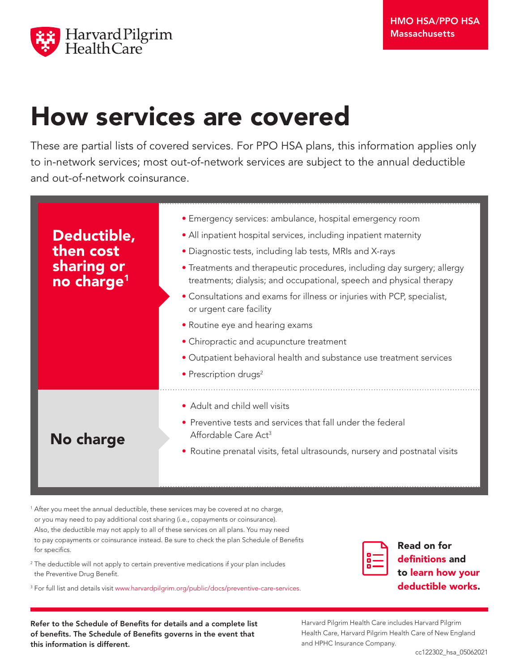

## How services are covered

These are partial lists of covered services. For PPO HSA plans, this information applies only to in-network services; most out-of-network services are subject to the annual deductible and out-of-network coinsurance.

| Deductible,<br>then cost<br>sharing or<br>no charge <sup>1</sup> | • Emergency services: ambulance, hospital emergency room<br>• All inpatient hospital services, including inpatient maternity<br>• Diagnostic tests, including lab tests, MRIs and X-rays<br>• Treatments and therapeutic procedures, including day surgery; allergy<br>treatments; dialysis; and occupational, speech and physical therapy<br>• Consultations and exams for illness or injuries with PCP, specialist,<br>or urgent care facility<br>• Routine eye and hearing exams<br>• Chiropractic and acupuncture treatment<br>• Outpatient behavioral health and substance use treatment services<br>• Prescription drugs <sup>2</sup> |
|------------------------------------------------------------------|---------------------------------------------------------------------------------------------------------------------------------------------------------------------------------------------------------------------------------------------------------------------------------------------------------------------------------------------------------------------------------------------------------------------------------------------------------------------------------------------------------------------------------------------------------------------------------------------------------------------------------------------|
| No charge                                                        | • Adult and child well visits<br>• Preventive tests and services that fall under the federal<br>Affordable Care Act <sup>3</sup><br>• Routine prenatal visits, fetal ultrasounds, nursery and postnatal visits                                                                                                                                                                                                                                                                                                                                                                                                                              |

<sup>1</sup> After you meet the annual deductible, these services may be covered at no charge, or you may need to pay additional cost sharing (i.e., copayments or coinsurance). Also, the deductible may not apply to all of these services on all plans. You may need to pay copayments or coinsurance instead. Be sure to check the plan Schedule of Benefits for specifics.

<sup>2</sup> The deductible will not apply to certain preventive medications if your plan includes the Preventive Drug Benefit.

3 For full list and details visit www.harvardpilgrim.org/public/docs/preventive-care-services.

| г |
|---|
| - |
|   |

Read on for definitions and to learn how your deductible works.

Refer to the Schedule of Benefits for details and a complete list of benefits. The Schedule of Benefits governs in the event that this information is different.

Harvard Pilgrim Health Care includes Harvard Pilgrim Health Care, Harvard Pilgrim Health Care of New England and HPHC Insurance Company.